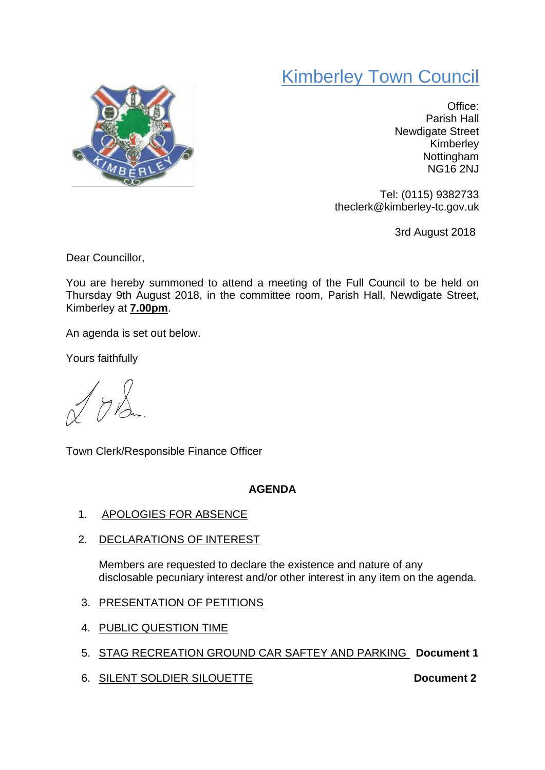## Kimberley Town Council



Office: Parish Hall Newdigate Street Kimberley **Nottingham** NG16 2NJ

Tel: (0115) 9382733 theclerk@kimberley-tc.gov.uk

3rd August 2018

Dear Councillor,

You are hereby summoned to attend a meeting of the Full Council to be held on Thursday 9th August 2018, in the committee room, Parish Hall, Newdigate Street, Kimberley at **7.00pm**.

An agenda is set out below.

Yours faithfully

 $7\lambda$ 

Town Clerk/Responsible Finance Officer

## **AGENDA**

- 1. APOLOGIES FOR ABSENCE
- 2. DECLARATIONS OF INTEREST

Members are requested to declare the existence and nature of any disclosable pecuniary interest and/or other interest in any item on the agenda.

- 3. PRESENTATION OF PETITIONS
- 4. PUBLIC QUESTION TIME
- 5. STAG RECREATION GROUND CAR SAFTEY AND PARKING **Document 1**
- 6. SILENT SOLDIER SILOUETTE **Document 2**